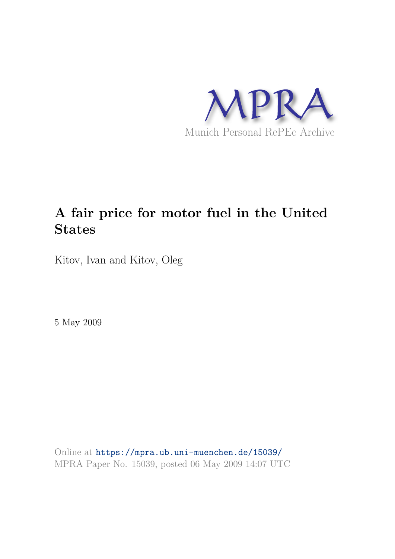

# **A fair price for motor fuel in the United States**

Kitov, Ivan and Kitov, Oleg

5 May 2009

Online at https://mpra.ub.uni-muenchen.de/15039/ MPRA Paper No. 15039, posted 06 May 2009 14:07 UTC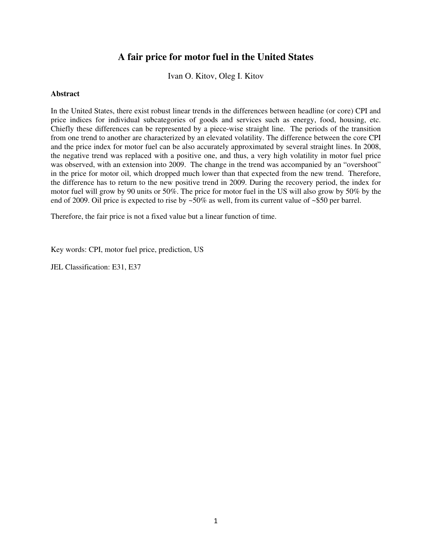# **A fair price for motor fuel in the United States**

Ivan O. Kitov, Oleg I. Kitov

### **Abstract**

In the United States, there exist robust linear trends in the differences between headline (or core) CPI and price indices for individual subcategories of goods and services such as energy, food, housing, etc. Chiefly these differences can be represented by a piece-wise straight line. The periods of the transition from one trend to another are characterized by an elevated volatility. The difference between the core CPI and the price index for motor fuel can be also accurately approximated by several straight lines. In 2008, the negative trend was replaced with a positive one, and thus, a very high volatility in motor fuel price was observed, with an extension into 2009. The change in the trend was accompanied by an "overshoot" in the price for motor oil, which dropped much lower than that expected from the new trend. Therefore, the difference has to return to the new positive trend in 2009. During the recovery period, the index for motor fuel will grow by 90 units or 50%. The price for motor fuel in the US will also grow by 50% by the end of 2009. Oil price is expected to rise by ~50% as well, from its current value of ~\$50 per barrel.

Therefore, the fair price is not a fixed value but a linear function of time.

Key words: CPI, motor fuel price, prediction, US

JEL Classification: E31, E37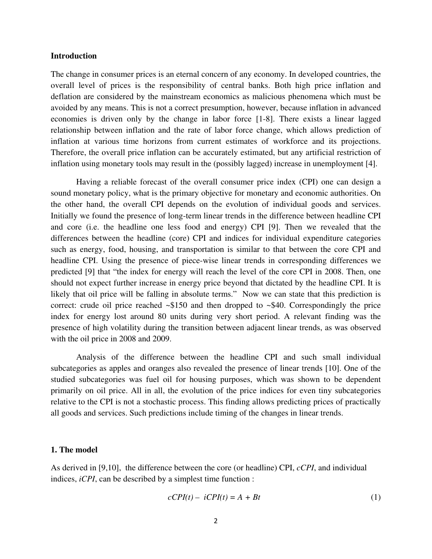#### **Introduction**

The change in consumer prices is an eternal concern of any economy. In developed countries, the overall level of prices is the responsibility of central banks. Both high price inflation and deflation are considered by the mainstream economics as malicious phenomena which must be avoided by any means. This is not a correct presumption, however, because inflation in advanced economies is driven only by the change in labor force [1-8]. There exists a linear lagged relationship between inflation and the rate of labor force change, which allows prediction of inflation at various time horizons from current estimates of workforce and its projections. Therefore, the overall price inflation can be accurately estimated, but any artificial restriction of inflation using monetary tools may result in the (possibly lagged) increase in unemployment [4].

 Having a reliable forecast of the overall consumer price index (CPI) one can design a sound monetary policy, what is the primary objective for monetary and economic authorities. On the other hand, the overall CPI depends on the evolution of individual goods and services. Initially we found the presence of long-term linear trends in the difference between headline CPI and core (i.e. the headline one less food and energy) CPI [9]. Then we revealed that the differences between the headline (core) CPI and indices for individual expenditure categories such as energy, food, housing, and transportation is similar to that between the core CPI and headline CPI. Using the presence of piece-wise linear trends in corresponding differences we predicted [9] that "the index for energy will reach the level of the core CPI in 2008. Then, one should not expect further increase in energy price beyond that dictated by the headline CPI. It is likely that oil price will be falling in absolute terms." Now we can state that this prediction is correct: crude oil price reached  $\sim $150$  and then dropped to  $\sim $40$ . Correspondingly the price index for energy lost around 80 units during very short period. A relevant finding was the presence of high volatility during the transition between adjacent linear trends, as was observed with the oil price in 2008 and 2009.

Analysis of the difference between the headline CPI and such small individual subcategories as apples and oranges also revealed the presence of linear trends [10]. One of the studied subcategories was fuel oil for housing purposes, which was shown to be dependent primarily on oil price. All in all, the evolution of the price indices for even tiny subcategories relative to the CPI is not a stochastic process. This finding allows predicting prices of practically all goods and services. Such predictions include timing of the changes in linear trends.

## **1. The model**

As derived in [9,10], the difference between the core (or headline) CPI, *cCPI*, and individual indices, *iCPI*, can be described by a simplest time function :

$$
cCPI(t) - iCPI(t) = A + Bt \tag{1}
$$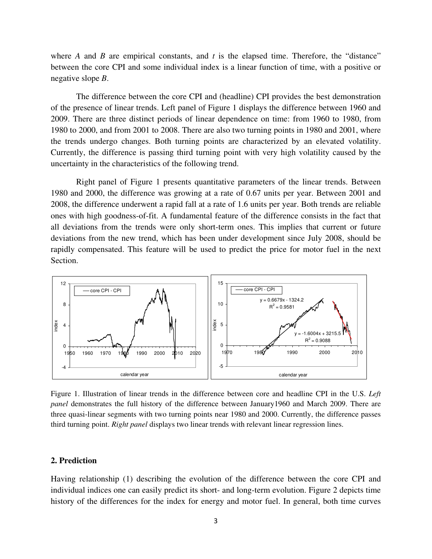where  $A$  and  $B$  are empirical constants, and  $t$  is the elapsed time. Therefore, the "distance" between the core CPI and some individual index is a linear function of time, with a positive or negative slope *B*.

The difference between the core CPI and (headline) CPI provides the best demonstration of the presence of linear trends. Left panel of Figure 1 displays the difference between 1960 and 2009. There are three distinct periods of linear dependence on time: from 1960 to 1980, from 1980 to 2000, and from 2001 to 2008. There are also two turning points in 1980 and 2001, where the trends undergo changes. Both turning points are characterized by an elevated volatility. Currently, the difference is passing third turning point with very high volatility caused by the uncertainty in the characteristics of the following trend.

Right panel of Figure 1 presents quantitative parameters of the linear trends. Between 1980 and 2000, the difference was growing at a rate of 0.67 units per year. Between 2001 and 2008, the difference underwent a rapid fall at a rate of 1.6 units per year. Both trends are reliable ones with high goodness-of-fit. A fundamental feature of the difference consists in the fact that all deviations from the trends were only short-term ones. This implies that current or future deviations from the new trend, which has been under development since July 2008, should be rapidly compensated. This feature will be used to predict the price for motor fuel in the next Section.



Figure 1. Illustration of linear trends in the difference between core and headline CPI in the U.S. *Left panel* demonstrates the full history of the difference between January1960 and March 2009. There are three quasi-linear segments with two turning points near 1980 and 2000. Currently, the difference passes third turning point. *Right panel* displays two linear trends with relevant linear regression lines.

### **2. Prediction**

Having relationship (1) describing the evolution of the difference between the core CPI and individual indices one can easily predict its short- and long-term evolution. Figure 2 depicts time history of the differences for the index for energy and motor fuel. In general, both time curves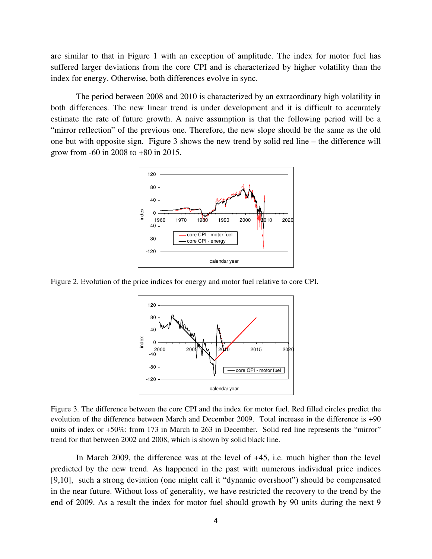are similar to that in Figure 1 with an exception of amplitude. The index for motor fuel has suffered larger deviations from the core CPI and is characterized by higher volatility than the index for energy. Otherwise, both differences evolve in sync.

 The period between 2008 and 2010 is characterized by an extraordinary high volatility in both differences. The new linear trend is under development and it is difficult to accurately estimate the rate of future growth. A naive assumption is that the following period will be a "mirror reflection" of the previous one. Therefore, the new slope should be the same as the old one but with opposite sign. Figure 3 shows the new trend by solid red line – the difference will grow from -60 in 2008 to +80 in 2015.



Figure 2. Evolution of the price indices for energy and motor fuel relative to core CPI.



Figure 3. The difference between the core CPI and the index for motor fuel. Red filled circles predict the evolution of the difference between March and December 2009. Total increase in the difference is +90 units of index or +50%: from 173 in March to 263 in December. Solid red line represents the "mirror" trend for that between 2002 and 2008, which is shown by solid black line.

In March 2009, the difference was at the level of +45, i.e. much higher than the level predicted by the new trend. As happened in the past with numerous individual price indices [9,10], such a strong deviation (one might call it "dynamic overshoot") should be compensated in the near future. Without loss of generality, we have restricted the recovery to the trend by the end of 2009. As a result the index for motor fuel should growth by 90 units during the next 9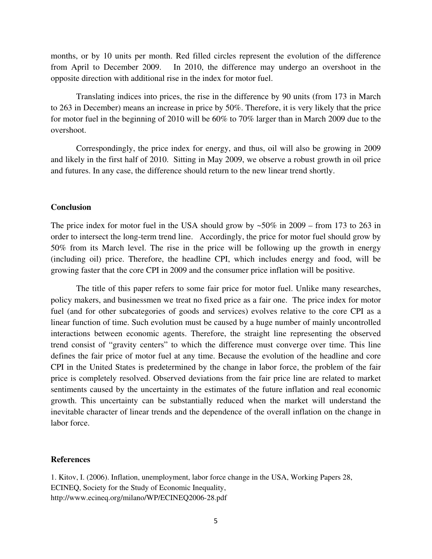months, or by 10 units per month. Red filled circles represent the evolution of the difference from April to December 2009. In 2010, the difference may undergo an overshoot in the opposite direction with additional rise in the index for motor fuel.

Translating indices into prices, the rise in the difference by 90 units (from 173 in March to 263 in December) means an increase in price by 50%. Therefore, it is very likely that the price for motor fuel in the beginning of 2010 will be 60% to 70% larger than in March 2009 due to the overshoot.

Correspondingly, the price index for energy, and thus, oil will also be growing in 2009 and likely in the first half of 2010. Sitting in May 2009, we observe a robust growth in oil price and futures. In any case, the difference should return to the new linear trend shortly.

### **Conclusion**

The price index for motor fuel in the USA should grow by  $\sim 50\%$  in 2009 – from 173 to 263 in order to intersect the long-term trend line. Accordingly, the price for motor fuel should grow by 50% from its March level. The rise in the price will be following up the growth in energy (including oil) price. Therefore, the headline CPI, which includes energy and food, will be growing faster that the core CPI in 2009 and the consumer price inflation will be positive.

 The title of this paper refers to some fair price for motor fuel. Unlike many researches, policy makers, and businessmen we treat no fixed price as a fair one. The price index for motor fuel (and for other subcategories of goods and services) evolves relative to the core CPI as a linear function of time. Such evolution must be caused by a huge number of mainly uncontrolled interactions between economic agents. Therefore, the straight line representing the observed trend consist of "gravity centers" to which the difference must converge over time. This line defines the fair price of motor fuel at any time. Because the evolution of the headline and core CPI in the United States is predetermined by the change in labor force, the problem of the fair price is completely resolved. Observed deviations from the fair price line are related to market sentiments caused by the uncertainty in the estimates of the future inflation and real economic growth. This uncertainty can be substantially reduced when the market will understand the inevitable character of linear trends and the dependence of the overall inflation on the change in labor force.

#### **References**

1. Kitov, I. (2006). [Inflation, unemployment, labor force change in the USA,](http://ideas.repec.org/p/inq/inqwps/ecineq2006-28.html) [Working Papers](http://ideas.repec.org/s/inq/inqwps.html) 28, ECINEQ, Society for the Study of Economic Inequality, <http://www.ecineq.org/milano/WP/ECINEQ2006-28.pdf>